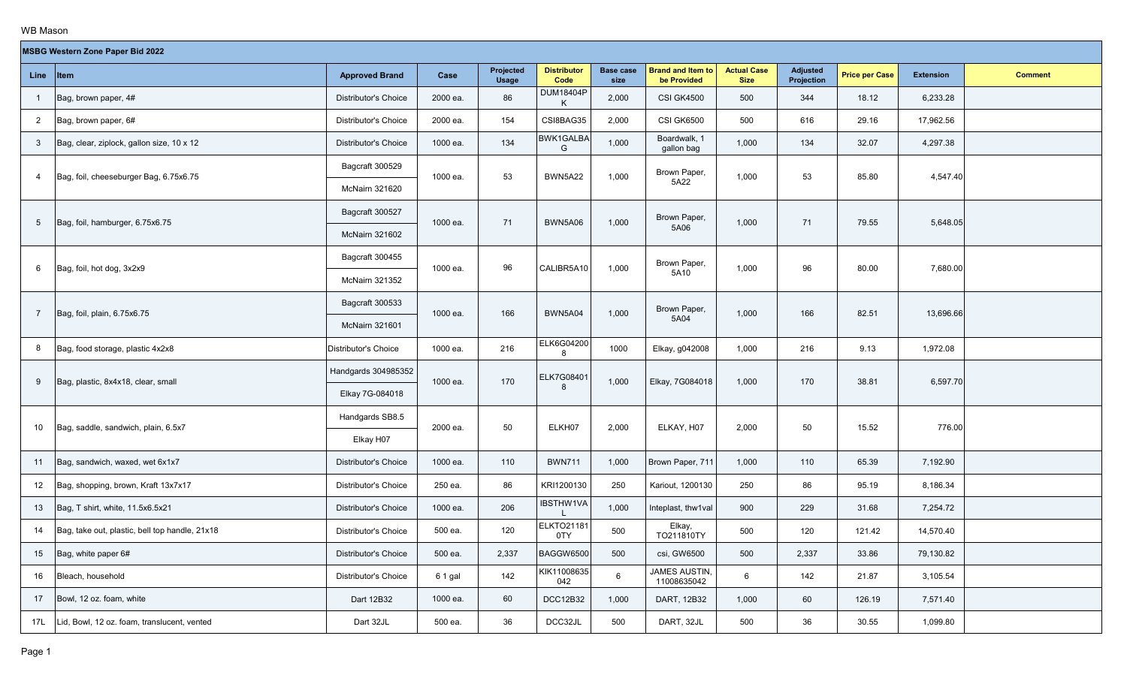**The Co** 

|                 | MSBG Western Zone Paper Bid 2022               |                             |          |                           |                            |                          |                                         |                                   |                               |                       |                  |                |  |
|-----------------|------------------------------------------------|-----------------------------|----------|---------------------------|----------------------------|--------------------------|-----------------------------------------|-----------------------------------|-------------------------------|-----------------------|------------------|----------------|--|
|                 | Line Item                                      | <b>Approved Brand</b>       | Case     | Projected<br><b>Usage</b> | <b>Distributor</b><br>Code | <b>Base case</b><br>size | <b>Brand and Item to</b><br>be Provided | <b>Actual Case</b><br><b>Size</b> | <b>Adjusted</b><br>Projection | <b>Price per Case</b> | <b>Extension</b> | <b>Comment</b> |  |
|                 | Bag, brown paper, 4#                           | <b>Distributor's Choice</b> | 2000 ea. | 86                        | DUM18404P                  | 2,000                    | <b>CSI GK4500</b>                       | 500                               | 344                           | 18.12                 | 6,233.28         |                |  |
| $\overline{2}$  | Bag, brown paper, 6#                           | <b>Distributor's Choice</b> | 2000 ea. | 154                       | CSI8BAG35                  | 2,000                    | <b>CSI GK6500</b>                       | 500                               | 616                           | 29.16                 | 17,962.56        |                |  |
| $\mathbf{3}$    | Bag, clear, ziplock, gallon size, 10 x 12      | <b>Distributor's Choice</b> | 1000 ea. | 134                       | BWK1GALBA<br>G             | 1,000                    | Boardwalk, 1<br>gallon bag              | 1,000                             | 134                           | 32.07                 | 4,297.38         |                |  |
| $\overline{4}$  | Bag, foil, cheeseburger Bag, 6.75x6.75         | Bagcraft 300529             | 1000 ea. | 53                        | <b>BWN5A22</b>             | 1,000                    | Brown Paper,                            | 1,000                             | 53                            | 85.80                 | 4,547.40         |                |  |
|                 |                                                | <b>McNairn 321620</b>       |          |                           |                            |                          | 5A22                                    |                                   |                               |                       |                  |                |  |
| $5\phantom{.0}$ | Bag, foil, hamburger, 6.75x6.75                | Bagcraft 300527             | 1000 ea. | 71                        | <b>BWN5A06</b>             | 1,000                    | Brown Paper,                            | 1,000                             | 71                            | 79.55                 | 5,648.05         |                |  |
|                 |                                                | <b>McNairn 321602</b>       |          |                           |                            |                          | 5A06                                    |                                   |                               |                       |                  |                |  |
| 6               | Bag, foil, hot dog, 3x2x9                      | Bagcraft 300455             | 1000 ea. | 96                        | CALIBR5A10                 | 1,000                    | Brown Paper,                            | 1,000                             | 96                            | 80.00                 | 7,680.00         |                |  |
|                 |                                                | <b>McNairn 321352</b>       |          |                           |                            |                          | 5A10                                    |                                   |                               |                       |                  |                |  |
| 7               | Bag, foil, plain, 6.75x6.75                    | Bagcraft 300533             | 1000 ea. | 166                       | <b>BWN5A04</b>             | 1,000                    | Brown Paper,                            | 1,000                             | 166                           | 82.51                 | 13,696.66        |                |  |
|                 |                                                | <b>McNairn 321601</b>       |          |                           |                            |                          | 5A04                                    |                                   |                               |                       |                  |                |  |
| 8               | Bag, food storage, plastic 4x2x8               | Distributor's Choice        | 1000 ea. | 216                       | ELK6G04200<br>8            | 1000                     | Elkay, g042008                          | 1,000                             | 216                           | 9.13                  | 1,972.08         |                |  |
| 9               | Bag, plastic, 8x4x18, clear, small             | Handgards 304985352         | 1000 ea. | 170                       | ELK7G08401                 | 1,000                    | Elkay, 7G084018                         | 1,000                             | 170                           | 38.81                 | 6,597.70         |                |  |
|                 |                                                | Elkay 7G-084018             |          |                           | 8                          |                          |                                         |                                   |                               |                       |                  |                |  |
| 10              | Bag, saddle, sandwich, plain, 6.5x7            | Handgards SB8.5             | 2000 ea. | 50                        | ELKH07                     | 2,000                    | ELKAY, H07                              | 2,000                             | 50                            | 15.52                 | 776.00           |                |  |
|                 |                                                | Elkay H07                   |          |                           |                            |                          |                                         |                                   |                               |                       |                  |                |  |
| 11              | Bag, sandwich, waxed, wet 6x1x7                | <b>Distributor's Choice</b> | 1000 ea. | 110                       | <b>BWN711</b>              | 1,000                    | Brown Paper, 711                        | 1,000                             | 110                           | 65.39                 | 7,192.90         |                |  |
| 12              | Bag, shopping, brown, Kraft 13x7x17            | Distributor's Choice        | 250 ea.  | 86                        | KRI1200130                 | 250                      | Kariout, 1200130                        | 250                               | 86                            | 95.19                 | 8,186.34         |                |  |
| 13              | Bag, T shirt, white, 11.5x6.5x21               | Distributor's Choice        | 1000 ea. | 206                       | <b>IBSTHW1VA</b>           | 1,000                    | Inteplast, thw1val                      | 900                               | 229                           | 31.68                 | 7,254.72         |                |  |
| 14              | Bag, take out, plastic, bell top handle, 21x18 | Distributor's Choice        | 500 ea.  | 120                       | <b>ELKTO21181</b><br>0TY   | 500                      | Elkay,<br>TO211810TY                    | 500                               | 120                           | 121.42                | 14,570.40        |                |  |
| 15              | Bag, white paper 6#                            | Distributor's Choice        | 500 ea.  | 2,337                     | BAGGW6500                  | 500                      | csi, GW6500                             | 500                               | 2,337                         | 33.86                 | 79,130.82        |                |  |
| 16              | Bleach, household                              | <b>Distributor's Choice</b> | 6 1 gal  | 142                       | KIK11008635<br>042         | 6                        | JAMES AUSTIN,<br>11008635042            | 6                                 | 142                           | 21.87                 | 3,105.54         |                |  |
| 17              | Bowl, 12 oz. foam, white                       | Dart 12B32                  | 1000 ea. | 60                        | DCC12B32                   | 1,000                    | DART, 12B32                             | 1,000                             | 60                            | 126.19                | 7,571.40         |                |  |
| 17L             | Lid, Bowl, 12 oz. foam, translucent, vented    | Dart 32JL                   | 500 ea.  | 36                        | DCC32JL                    | 500                      | DART, 32JL                              | 500                               | 36                            | 30.55                 | 1,099.80         |                |  |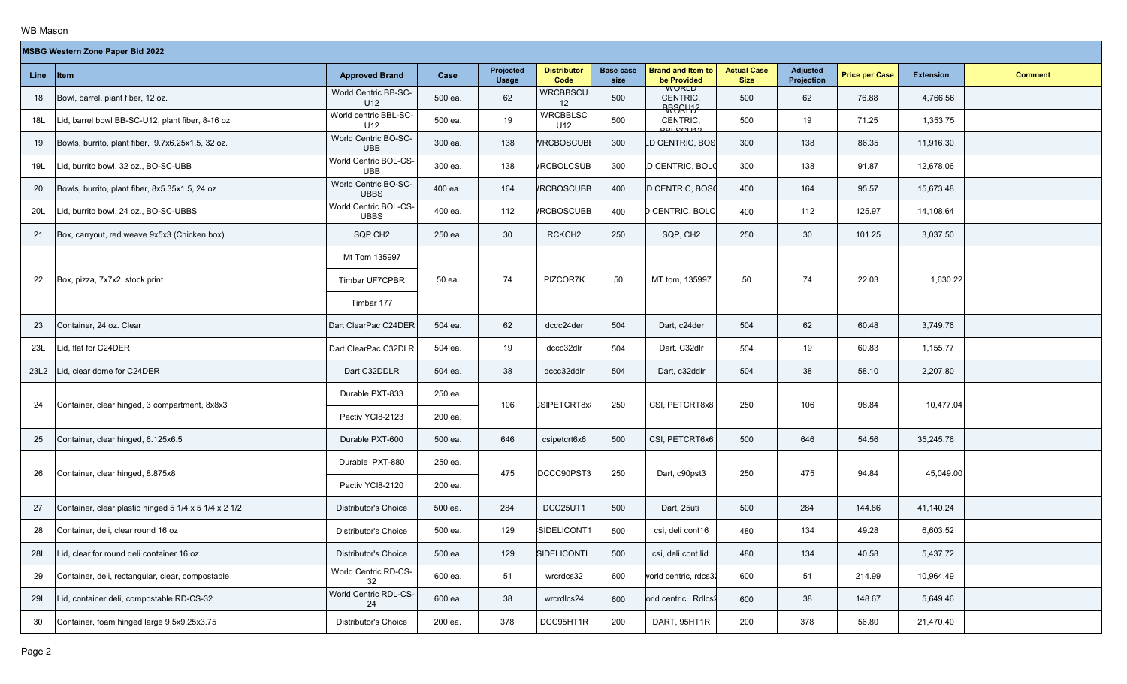|      | <b>MSBG Western Zone Paper Bid 2022</b>               |                                      |         |                           |                            |                          |                                             |                                   |                                      |                       |                  |                |
|------|-------------------------------------------------------|--------------------------------------|---------|---------------------------|----------------------------|--------------------------|---------------------------------------------|-----------------------------------|--------------------------------------|-----------------------|------------------|----------------|
|      | Line Item                                             | <b>Approved Brand</b>                | Case    | Projected<br><b>Usage</b> | <b>Distributor</b><br>Code | <b>Base case</b><br>size | <b>Brand and Item to</b><br>be Provided     | <b>Actual Case</b><br><b>Size</b> | <b>Adjusted</b><br><b>Projection</b> | <b>Price per Case</b> | <b>Extension</b> | <b>Comment</b> |
| 18   | Bowl, barrel, plant fiber, 12 oz.                     | World Centric BB-SC-<br>U12          | 500 ea. | 62                        | <b>WRCBBSCU</b><br>12      | 500                      | <b>WURLD</b><br>CENTRIC,<br><b>RRSGLL12</b> | 500                               | 62                                   | 76.88                 | 4,766.56         |                |
| 18L  | Lid, barrel bowl BB-SC-U12, plant fiber, 8-16 oz.     | World centric BBL-SC-<br>U12         | 500 ea. | 19                        | <b>WRCBBLSC</b><br>U12     | 500                      | CENTRIC,<br><b>RRI SCU12</b>                | 500                               | 19                                   | 71.25                 | 1,353.75         |                |
| 19   | Bowls, burrito, plant fiber, 9.7x6.25x1.5, 32 oz.     | World Centric BO-SC-<br>UBB          | 300 ea. | 138                       | <b>VRCBOSCUBI</b>          | 300                      | LD CENTRIC, BOS                             | 300                               | 138                                  | 86.35                 | 11,916.30        |                |
| 19L  | Lid, burrito bowl, 32 oz., BO-SC-UBB                  | World Centric BOL-CS-<br><b>UBB</b>  | 300 ea. | 138                       | <b>/RCBOLCSUB</b>          | 300                      | D CENTRIC, BOLO                             | 300                               | 138                                  | 91.87                 | 12,678.06        |                |
| 20   | Bowls, burrito, plant fiber, 8x5.35x1.5, 24 oz.       | World Centric BO-SC-<br><b>UBBS</b>  | 400 ea. | 164                       | <b>/RCBOSCUBB</b>          | 400                      | D CENTRIC, BOSO                             | 400                               | 164                                  | 95.57                 | 15,673.48        |                |
| 20L  | Lid, burrito bowl, 24 oz., BO-SC-UBBS                 | World Centric BOL-CS-<br><b>UBBS</b> | 400 ea. | 112                       | <b>/RCBOSCUBB</b>          | 400                      | D CENTRIC, BOLC                             | 400                               | 112                                  | 125.97                | 14,108.64        |                |
| 21   | Box, carryout, red weave 9x5x3 (Chicken box)          | SQP CH <sub>2</sub>                  | 250 ea. | 30                        | RCKCH <sub>2</sub>         | 250                      | SQP, CH2                                    | 250                               | 30                                   | 101.25                | 3,037.50         |                |
|      |                                                       | Mt Tom 135997                        |         |                           |                            |                          |                                             |                                   |                                      |                       |                  |                |
| 22   | Box, pizza, 7x7x2, stock print                        | Timbar UF7CPBR                       | 50 ea.  | 74                        | PIZCOR7K                   | 50                       | MT tom, 135997                              | 50                                | 74                                   | 22.03                 | 1,630.22         |                |
|      |                                                       | Timbar 177                           |         |                           |                            |                          |                                             |                                   |                                      |                       |                  |                |
| 23   | Container, 24 oz. Clear                               | Dart ClearPac C24DER                 | 504 ea. | 62                        | dccc24der                  | 504                      | Dart, c24der                                | 504                               | 62                                   | 60.48                 | 3,749.76         |                |
| 23L  | Lid, flat for C24DER                                  | Dart ClearPac C32DLR                 | 504 ea. | 19                        | dccc32dlr                  | 504                      | Dart. C32dlr                                | 504                               | 19                                   | 60.83                 | 1,155.77         |                |
| 23L2 | id, clear dome for C24DER.                            | Dart C32DDLR                         | 504 ea. | 38                        | dccc32ddlr                 | 504                      | Dart, c32ddlr                               | 504                               | 38                                   | 58.10                 | 2,207.80         |                |
| 24   | Container, clear hinged, 3 compartment, 8x8x3         | Durable PXT-833                      | 250 ea. | 106                       | CSIPETCRT8x                | 250                      | CSI, PETCRT8x8                              | 250                               | 106                                  | 98.84                 | 10,477.04        |                |
|      |                                                       | Pactiv YCI8-2123                     | 200 ea. |                           |                            |                          |                                             |                                   |                                      |                       |                  |                |
| 25   | Container, clear hinged, 6.125x6.5                    | Durable PXT-600                      | 500 ea. | 646                       | csipetcrt6x6               | 500                      | CSI, PETCRT6x6                              | 500                               | 646                                  | 54.56                 | 35,245.76        |                |
|      |                                                       | Durable PXT-880                      | 250 ea. | 475                       | DCCC90PST3                 | 250                      |                                             | 250                               | 475                                  | 94.84                 | 45,049.00        |                |
| 26   | Container, clear hinged, 8.875x8                      | Pactiv YCI8-2120                     | 200 ea. |                           |                            |                          | Dart, c90pst3                               |                                   |                                      |                       |                  |                |
| 27   | Container, clear plastic hinged 5 1/4 x 5 1/4 x 2 1/2 | <b>Distributor's Choice</b>          | 500 ea. | 284                       | DCC25UT1                   | 500                      | Dart, 25uti                                 | 500                               | 284                                  | 144.86                | 41,140.24        |                |
| 28   | Container, deli, clear round 16 oz                    | <b>Distributor's Choice</b>          | 500 ea. | 129                       | SIDELICONT                 | 500                      | csi, deli cont16                            | 480                               | 134                                  | 49.28                 | 6,603.52         |                |
| 28L  | Lid, clear for round deli container 16 oz             | Distributor's Choice                 | 500 ea. | 129                       | SIDELICONTL                | 500                      | csi, deli cont lid                          | 480                               | 134                                  | 40.58                 | 5,437.72         |                |
| 29   | Container, deli, rectangular, clear, compostable      | World Centric RD-CS-<br>32           | 600 ea. | 51                        | wrcrdcs32                  | 600                      | vorld centric, rdcs32                       | 600                               | 51                                   | 214.99                | 10,964.49        |                |
| 29L  | Lid, container deli, compostable RD-CS-32             | World Centric RDL-CS-<br>24          | 600 ea. | 38                        | wrcrdlcs24                 | 600                      | orld centric. Rdlcs2                        | 600                               | 38                                   | 148.67                | 5,649.46         |                |
| 30   | Container, foam hinged large 9.5x9.25x3.75            | <b>Distributor's Choice</b>          | 200 ea. | 378                       | DCC95HT1R                  | 200                      | DART, 95HT1R                                | 200                               | 378                                  | 56.80                 | 21,470.40        |                |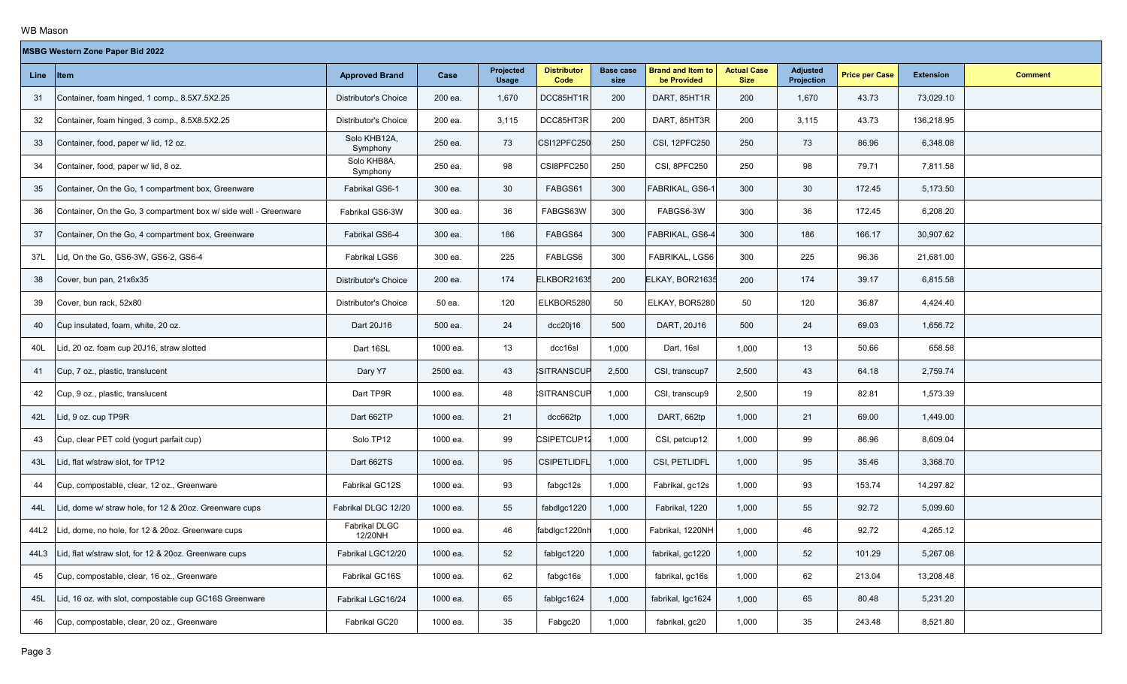|      | <b>MSBG Western Zone Paper Bid 2022</b>                          |                             |          |                           |                            |                          |                                         |                                   |                               |                       |                  |                |
|------|------------------------------------------------------------------|-----------------------------|----------|---------------------------|----------------------------|--------------------------|-----------------------------------------|-----------------------------------|-------------------------------|-----------------------|------------------|----------------|
| Line | ∣ltem                                                            | <b>Approved Brand</b>       | Case     | Projected<br><b>Usage</b> | <b>Distributor</b><br>Code | <b>Base case</b><br>size | <b>Brand and Item to</b><br>be Provided | <b>Actual Case</b><br><b>Size</b> | <b>Adjusted</b><br>Projection | <b>Price per Case</b> | <b>Extension</b> | <b>Comment</b> |
| 31   | Container, foam hinged, 1 comp., 8.5X7.5X2.25                    | Distributor's Choice        | 200 ea.  | 1,670                     | DCC85HT1R                  | 200                      | DART, 85HT1R                            | 200                               | 1,670                         | 43.73                 | 73,029.10        |                |
| 32   | Container, foam hinged, 3 comp., 8.5X8.5X2.25                    | Distributor's Choice        | 200 ea.  | 3,115                     | DCC85HT3R                  | 200                      | DART, 85HT3R                            | 200                               | 3,115                         | 43.73                 | 136,218.95       |                |
| 33   | Container, food, paper w/ lid, 12 oz.                            | Solo KHB12A,<br>Symphony    | 250 ea.  | 73                        | CSI12PFC250                | 250                      | CSI, 12PFC250                           | 250                               | 73                            | 86.96                 | 6,348.08         |                |
| 34   | Container, food, paper w/ lid, 8 oz.                             | Solo KHB8A,<br>Symphony     | 250 ea.  | 98                        | CSI8PFC250                 | 250                      | <b>CSI, 8PFC250</b>                     | 250                               | 98                            | 79.71                 | 7,811.58         |                |
| 35   | Container, On the Go, 1 compartment box, Greenware               | Fabrikal GS6-1              | 300 ea.  | 30                        | FABGS61                    | 300                      | FABRIKAL, GS6-1                         | 300                               | 30                            | 172.45                | 5,173.50         |                |
| 36   | Container, On the Go, 3 compartment box w/ side well - Greenware | Fabrikal GS6-3W             | 300 ea.  | 36                        | FABGS63W                   | 300                      | FABGS6-3W                               | 300                               | 36                            | 172.45                | 6,208.20         |                |
| 37   | Container, On the Go, 4 compartment box, Greenware               | Fabrikal GS6-4              | 300 ea.  | 186                       | FABGS64                    | 300                      | FABRIKAL, GS6-4                         | 300                               | 186                           | 166.17                | 30,907.62        |                |
| 37L  | Lid, On the Go, GS6-3W, GS6-2, GS6-4                             | <b>Fabrikal LGS6</b>        | 300 ea.  | 225                       | FABLGS6                    | 300                      | FABRIKAL, LGS6                          | 300                               | 225                           | 96.36                 | 21,681.00        |                |
| 38   | Cover, bun pan, 21x6x35                                          | <b>Distributor's Choice</b> | 200 ea.  | 174                       | ELKBOR21635                | 200                      | ELKAY, BOR21635                         | 200                               | 174                           | 39.17                 | 6,815.58         |                |
| 39   | Cover, bun rack, 52x80                                           | Distributor's Choice        | 50 ea.   | 120                       | ELKBOR5280                 | 50                       | ELKAY, BOR5280                          | 50                                | 120                           | 36.87                 | 4,424.40         |                |
| 40   | Cup insulated, foam, white, 20 oz.                               | Dart 20J16                  | 500 ea.  | 24                        | dcc20j16                   | 500                      | DART, 20J16                             | 500                               | 24                            | 69.03                 | 1,656.72         |                |
| 40L  | Lid, 20 oz. foam cup 20J16, straw slotted                        | Dart 16SL                   | 1000 ea. | 13                        | dcc16sl                    | 1,000                    | Dart, 16sl                              | 1,000                             | 13                            | 50.66                 | 658.58           |                |
| 41   | Cup, 7 oz., plastic, translucent                                 | Dary Y7                     | 2500 ea. | 43                        | SITRANSCUP                 | 2,500                    | CSI, transcup7                          | 2,500                             | 43                            | 64.18                 | 2,759.74         |                |
| 42   | Cup, 9 oz., plastic, translucent                                 | Dart TP9R                   | 1000 ea. | 48                        | <b>SITRANSCUP</b>          | 1,000                    | CSI, transcup9                          | 2,500                             | 19                            | 82.81                 | 1,573.39         |                |
| 42L  | Lid, 9 oz. cup TP9R                                              | Dart 662TP                  | 1000 ea. | 21                        | dcc662tp                   | 1,000                    | DART, 662tp                             | 1,000                             | 21                            | 69.00                 | 1,449.00         |                |
| 43   | Cup, clear PET cold (yogurt parfait cup)                         | Solo TP12                   | 1000 ea. | 99                        | CSIPETCUP12                | 1,000                    | CSI, petcup12                           | 1,000                             | 99                            | 86.96                 | 8,609.04         |                |
| 43L  | Lid, flat w/straw slot, for TP12                                 | Dart 662TS                  | 1000 ea. | 95                        | <b>CSIPETLIDFL</b>         | 1,000                    | CSI, PETLIDFL                           | 1,000                             | 95                            | 35.46                 | 3,368.70         |                |
| 44   | Cup, compostable, clear, 12 oz., Greenware                       | Fabrikal GC12S              | 1000 ea. | 93                        | fabgc12s                   | 1,000                    | Fabrikal, gc12s                         | 1,000                             | 93                            | 153.74                | 14,297.82        |                |
| 44L  | Lid, dome w/ straw hole, for 12 & 20oz. Greenware cups           | Fabrikal DLGC 12/20         | 1000 ea. | 55                        | fabdlgc1220                | 1,000                    | Fabrikal, 1220                          | 1,000                             | 55                            | 92.72                 | 5,099.60         |                |
| 44L2 | Lid, dome, no hole, for 12 & 20oz. Greenware cups                | Fabrikal DLGC<br>12/20NH    | 1000 ea. | 46                        | fabdlgc1220nh              | 1,000                    | Fabrikal, 1220NH                        | 1,000                             | 46                            | 92.72                 | 4,265.12         |                |
|      | 44L3 Lid, flat w/straw slot, for 12 & 20oz. Greenware cups       | Fabrikal LGC12/20           | 1000 ea. | 52                        | fablgc1220                 | 1,000                    | fabrikal, gc1220                        | 1,000                             | 52                            | 101.29                | 5,267.08         |                |
| 45   | Cup, compostable, clear, 16 oz., Greenware                       | Fabrikal GC16S              | 1000 ea. | 62                        | fabgc16s                   | 1,000                    | fabrikal, gc16s                         | 1,000                             | 62                            | 213.04                | 13,208.48        |                |
| 45L  | Lid, 16 oz. with slot, compostable cup GC16S Greenware           | Fabrikal LGC16/24           | 1000 ea. | 65                        | fablgc1624                 | 1,000                    | fabrikal, Igc1624                       | 1,000                             | 65                            | 80.48                 | 5,231.20         |                |
| 46   | Cup, compostable, clear, 20 oz., Greenware                       | Fabrikal GC20               | 1000 ea. | 35                        | Fabgc20                    | 1,000                    | fabrikal, gc20                          | 1,000                             | 35                            | 243.48                | 8,521.80         |                |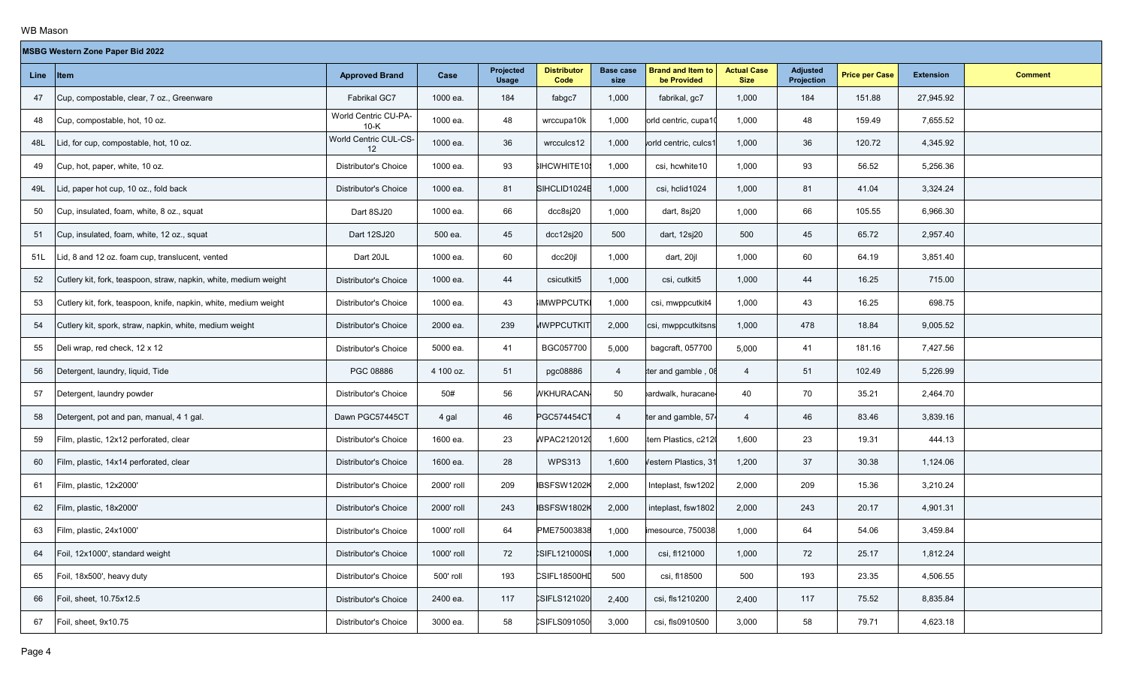|           | <b>MSBG Western Zone Paper Bid 2022</b>                          |                                |            |                           |                            |                          |                                         |                                   |                        |                       |                  |                |  |
|-----------|------------------------------------------------------------------|--------------------------------|------------|---------------------------|----------------------------|--------------------------|-----------------------------------------|-----------------------------------|------------------------|-----------------------|------------------|----------------|--|
| Line Item |                                                                  | <b>Approved Brand</b>          | Case       | Projected<br><b>Usage</b> | <b>Distributor</b><br>Code | <b>Base case</b><br>size | <b>Brand and Item to</b><br>be Provided | <b>Actual Case</b><br><b>Size</b> | Adjusted<br>Projection | <b>Price per Case</b> | <b>Extension</b> | <b>Comment</b> |  |
| 47        | Cup, compostable, clear, 7 oz., Greenware                        | Fabrikal GC7                   | 1000 ea.   | 184                       | fabgc7                     | 1,000                    | fabrikal, gc7                           | 1,000                             | 184                    | 151.88                | 27,945.92        |                |  |
| 48        | Cup, compostable, hot, 10 oz.                                    | World Centric CU-PA-<br>$10-K$ | 1000 ea.   | 48                        | wrccupa10k                 | 1,000                    | orld centric, cupa1                     | 1,000                             | 48                     | 159.49                | 7,655.52         |                |  |
| 48L       | Lid, for cup, compostable, hot, 10 oz.                           | World Centric CUL-CS-<br>12    | 1000 ea.   | 36                        | wrcculcs12                 | 1,000                    | vorld centric, culcs1                   | 1,000                             | 36                     | 120.72                | 4,345.92         |                |  |
| 49        | Cup, hot, paper, white, 10 oz.                                   | <b>Distributor's Choice</b>    | 1000 ea.   | 93                        | SIHCWHITE109               | 1,000                    | csi, hcwhite10                          | 1,000                             | 93                     | 56.52                 | 5,256.36         |                |  |
| 49L       | Lid, paper hot cup, 10 oz., fold back                            | <b>Distributor's Choice</b>    | 1000 ea.   | 81                        | SIHCLID1024B               | 1,000                    | csi, hclid1024                          | 1,000                             | 81                     | 41.04                 | 3,324.24         |                |  |
| 50        | Cup, insulated, foam, white, 8 oz., squat                        | Dart 8SJ20                     | 1000 ea.   | 66                        | dcc8sj20                   | 1,000                    | dart, 8sj20                             | 1,000                             | 66                     | 105.55                | 6,966.30         |                |  |
| 51        | Cup, insulated, foam, white, 12 oz., squat                       | Dart 12SJ20                    | 500 ea.    | 45                        | dcc12sj20                  | 500                      | dart, 12sj20                            | 500                               | 45                     | 65.72                 | 2,957.40         |                |  |
| 51L       | Lid, 8 and 12 oz. foam cup, translucent, vented                  | Dart 20JL                      | 1000 ea.   | 60                        | dcc20jl                    | 1,000                    | dart, 20jl                              | 1,000                             | 60                     | 64.19                 | 3,851.40         |                |  |
| 52        | Cutlery kit, fork, teaspoon, straw, napkin, white, medium weight | <b>Distributor's Choice</b>    | 1000 ea.   | 44                        | csicutkit5                 | 1,000                    | csi, cutkit5                            | 1,000                             | 44                     | 16.25                 | 715.00           |                |  |
| 53        | Cutlery kit, fork, teaspoon, knife, napkin, white, medium weight | Distributor's Choice           | 1000 ea.   | 43                        | <b>IMWPPCUTK</b>           | 1,000                    | csi, mwppcutkit4                        | 1,000                             | 43                     | 16.25                 | 698.75           |                |  |
| 54        | Cutlery kit, spork, straw, napkin, white, medium weight          | <b>Distributor's Choice</b>    | 2000 ea.   | 239                       | <b>MWPPCUTKIT</b>          | 2,000                    | csi, mwppcutkitsns                      | 1,000                             | 478                    | 18.84                 | 9,005.52         |                |  |
| 55        | Deli wrap, red check, 12 x 12                                    | <b>Distributor's Choice</b>    | 5000 ea.   | 41                        | BGC057700                  | 5,000                    | bagcraft, 057700                        | 5,000                             | 41                     | 181.16                | 7,427.56         |                |  |
| 56        | Detergent, laundry, liquid, Tide                                 | PGC 08886                      | 4 100 oz.  | 51                        | pgc08886                   | $\overline{4}$           | ter and gamble, 08                      | $\overline{4}$                    | 51                     | 102.49                | 5,226.99         |                |  |
| 57        | Detergent, laundry powder                                        | <b>Distributor's Choice</b>    | 50#        | 56                        | <b><i>NKHURACAN</i></b>    | 50                       | pardwalk, huracane                      | 40                                | 70                     | 35.21                 | 2,464.70         |                |  |
| 58        | Detergent, pot and pan, manual, 4 1 gal.                         | Dawn PGC57445CT                | 4 gal      | 46                        | PGC574454CT                | $\overline{4}$           | ter and gamble, 574                     | $\overline{4}$                    | 46                     | 83.46                 | 3,839.16         |                |  |
| 59        | Film, plastic, 12x12 perforated, clear                           | <b>Distributor's Choice</b>    | 1600 ea.   | 23                        | WPAC2120120                | 1,600                    | tern Plastics, c2120                    | 1,600                             | 23                     | 19.31                 | 444.13           |                |  |
| 60        | Film, plastic, 14x14 perforated, clear                           | <b>Distributor's Choice</b>    | 1600 ea.   | 28                        | <b>WPS313</b>              | 1,600                    | Vestern Plastics, 31                    | 1,200                             | 37                     | 30.38                 | 1,124.06         |                |  |
| 61        | Film, plastic, 12x2000'                                          | <b>Distributor's Choice</b>    | 2000' roll | 209                       | <b>IBSFSW1202K</b>         | 2,000                    | Inteplast, fsw1202                      | 2,000                             | 209                    | 15.36                 | 3,210.24         |                |  |
| 62        | Film, plastic, 18x2000'                                          | <b>Distributor's Choice</b>    | 2000' roll | 243                       | <b>IBSFSW1802K</b>         | 2,000                    | inteplast, fsw1802                      | 2,000                             | 243                    | 20.17                 | 4,901.31         |                |  |
| 63        | Film, plastic, 24x1000'                                          | <b>Distributor's Choice</b>    | 1000' roll | 64                        | PME75003838                | 1,000                    | imesource, 750038                       | 1,000                             | 64                     | 54.06                 | 3,459.84         |                |  |
| 64        | Foil, 12x1000', standard weight                                  | <b>Distributor's Choice</b>    | 1000' roll | 72                        | <b>SIFL121000SI</b>        | 1,000                    | csi, fl121000                           | 1,000                             | 72                     | 25.17                 | 1,812.24         |                |  |
| 65        | Foil, 18x500', heavy duty                                        | <b>Distributor's Choice</b>    | 500' roll  | 193                       | CSIFL18500HD               | 500                      | csi, fl18500                            | 500                               | 193                    | 23.35                 | 4,506.55         |                |  |
| 66        | Foil, sheet, 10.75x12.5                                          | Distributor's Choice           | 2400 ea.   | 117                       | CSIFLS121020               | 2,400                    | csi, fls1210200                         | 2,400                             | 117                    | 75.52                 | 8,835.84         |                |  |
| 67        | Foil, sheet, 9x10.75                                             | <b>Distributor's Choice</b>    | 3000 ea.   | 58                        | CSIFLS091050               | 3,000                    | csi, fls0910500                         | 3,000                             | 58                     | 79.71                 | 4,623.18         |                |  |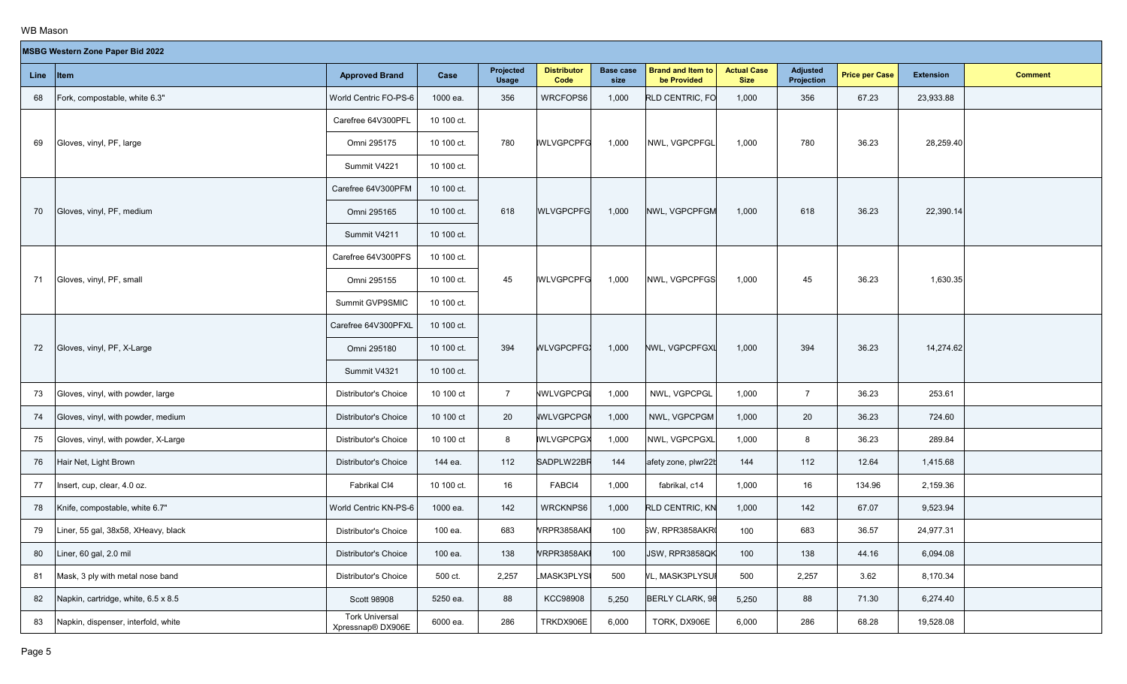|      | <b>MSBG Western Zone Paper Bid 2022</b> |                                            |            |                           |                            |                          |                                         |                                   |                        |                       |                  |                |  |
|------|-----------------------------------------|--------------------------------------------|------------|---------------------------|----------------------------|--------------------------|-----------------------------------------|-----------------------------------|------------------------|-----------------------|------------------|----------------|--|
| Line | <b>Item</b>                             | <b>Approved Brand</b>                      | Case       | Projected<br><b>Usage</b> | <b>Distributor</b><br>Code | <b>Base case</b><br>size | <b>Brand and Item to</b><br>be Provided | <b>Actual Case</b><br><b>Size</b> | Adjusted<br>Projection | <b>Price per Case</b> | <b>Extension</b> | <b>Comment</b> |  |
| 68   | Fork, compostable, white 6.3"           | World Centric FO-PS-6                      | 1000 ea.   | 356                       | WRCFOPS6                   | 1,000                    | RLD CENTRIC, FO                         | 1,000                             | 356                    | 67.23                 | 23,933.88        |                |  |
|      |                                         | Carefree 64V300PFL                         | 10 100 ct. |                           |                            |                          |                                         |                                   |                        |                       |                  |                |  |
| 69   | Gloves, vinyl, PF, large                | Omni 295175                                | 10 100 ct. | 780                       | <b>IWLVGPCPFG</b>          | 1,000                    | NWL, VGPCPFGL                           | 1,000                             | 780                    | 36.23                 | 28,259.40        |                |  |
|      |                                         | Summit V4221                               | 10 100 ct. |                           |                            |                          |                                         |                                   |                        |                       |                  |                |  |
|      |                                         | Carefree 64V300PFM                         | 10 100 ct. |                           |                            |                          |                                         |                                   |                        |                       |                  |                |  |
| 70   | Gloves, vinyl, PF, medium               | Omni 295165                                | 10 100 ct. | 618                       | <b>WLVGPCPFG</b>           | 1,000                    | NWL, VGPCPFGM                           | 1,000                             | 618                    | 36.23                 | 22,390.14        |                |  |
|      |                                         | Summit V4211                               | 10 100 ct. |                           |                            |                          |                                         |                                   |                        |                       |                  |                |  |
|      |                                         | Carefree 64V300PFS                         | 10 100 ct. |                           |                            |                          |                                         |                                   |                        |                       |                  |                |  |
| 71   | Gloves, vinyl, PF, small                | Omni 295155                                | 10 100 ct. | 45                        | <b>IWLVGPCPFG</b>          | 1,000                    | NWL, VGPCPFGS                           | 1,000                             | 45                     | 36.23                 | 1,630.35         |                |  |
|      |                                         | Summit GVP9SMIC                            | 10 100 ct. |                           |                            |                          |                                         |                                   |                        |                       |                  |                |  |
|      |                                         | Carefree 64V300PFXL                        | 10 100 ct. |                           |                            |                          |                                         |                                   |                        |                       |                  |                |  |
| 72   | Gloves, vinyl, PF, X-Large              | Omni 295180                                | 10 100 ct. | 394                       | <b>WLVGPCPFGX</b>          | 1,000                    | NWL, VGPCPFGXL                          | 1,000                             | 394                    | 36.23                 | 14,274.62        |                |  |
|      |                                         | Summit V4321                               | 10 100 ct. |                           |                            |                          |                                         |                                   |                        |                       |                  |                |  |
| 73   | Gloves, vinyl, with powder, large       | Distributor's Choice                       | 10 100 ct  | $7^{\circ}$               | <b>NWLVGPCPGI</b>          | 1,000                    | NWL, VGPCPGL                            | 1,000                             | $\overline{7}$         | 36.23                 | 253.61           |                |  |
| 74   | Gloves, vinyl, with powder, medium      | Distributor's Choice                       | 10 100 ct  | 20                        | <b>WLVGPCPGN</b>           | 1,000                    | NWL, VGPCPGM                            | 1,000                             | 20                     | 36.23                 | 724.60           |                |  |
| 75   | Gloves, vinyl, with powder, X-Large     | Distributor's Choice                       | 10 100 ct  | 8                         | <b>IWLVGPCPGX</b>          | 1,000                    | NWL, VGPCPGXL                           | 1,000                             | 8                      | 36.23                 | 289.84           |                |  |
| 76   | Hair Net, Light Brown                   | Distributor's Choice                       | 144 ea.    | 112                       | SADPLW22BR                 | 144                      | afety zone, plwr22b                     | 144                               | 112                    | 12.64                 | 1,415.68         |                |  |
| 77   | Insert, cup, clear, 4.0 oz.             | Fabrikal CI4                               | 10 100 ct. | 16                        | FABCI4                     | 1,000                    | fabrikal. c14                           | 1,000                             | 16                     | 134.96                | 2,159.36         |                |  |
| 78   | Knife, compostable, white 6.7"          | World Centric KN-PS-6                      | 1000 ea.   | 142                       | WRCKNPS6                   | 1,000                    | RLD CENTRIC, KN                         | 1,000                             | 142                    | 67.07                 | 9,523.94         |                |  |
| 79   | Liner, 55 gal, 38x58, XHeavy, black     | <b>Distributor's Choice</b>                | 100 ea.    | 683                       | VRPR3858AKI                | 100                      | SW, RPR3858AKR                          | 100                               | 683                    | 36.57                 | 24,977.31        |                |  |
| 80   | Liner, 60 gal, 2.0 mil                  | Distributor's Choice                       | 100 ea.    | 138                       | VRPR3858AKI                | 100                      | JSW, RPR3858QK                          | 100                               | 138                    | 44.16                 | 6,094.08         |                |  |
| 81   | Mask, 3 ply with metal nose band        | Distributor's Choice                       | 500 ct.    | 2,257                     | <b>MASK3PLYSI</b>          | 500                      | <b>VL, MASK3PLYSUF</b>                  | 500                               | 2,257                  | 3.62                  | 8,170.34         |                |  |
| 82   | Napkin, cartridge, white, 6.5 x 8.5     | <b>Scott 98908</b>                         | 5250 ea.   | 88                        | KCC98908                   | 5,250                    | BERLY CLARK, 98                         | 5,250                             | 88                     | 71.30                 | 6,274.40         |                |  |
| 83   | Napkin, dispenser, interfold, white     | <b>Tork Universal</b><br>Xpressnap® DX906E | 6000 ea.   | 286                       | TRKDX906E                  | 6,000                    | TORK, DX906E                            | 6,000                             | 286                    | 68.28                 | 19,528.08        |                |  |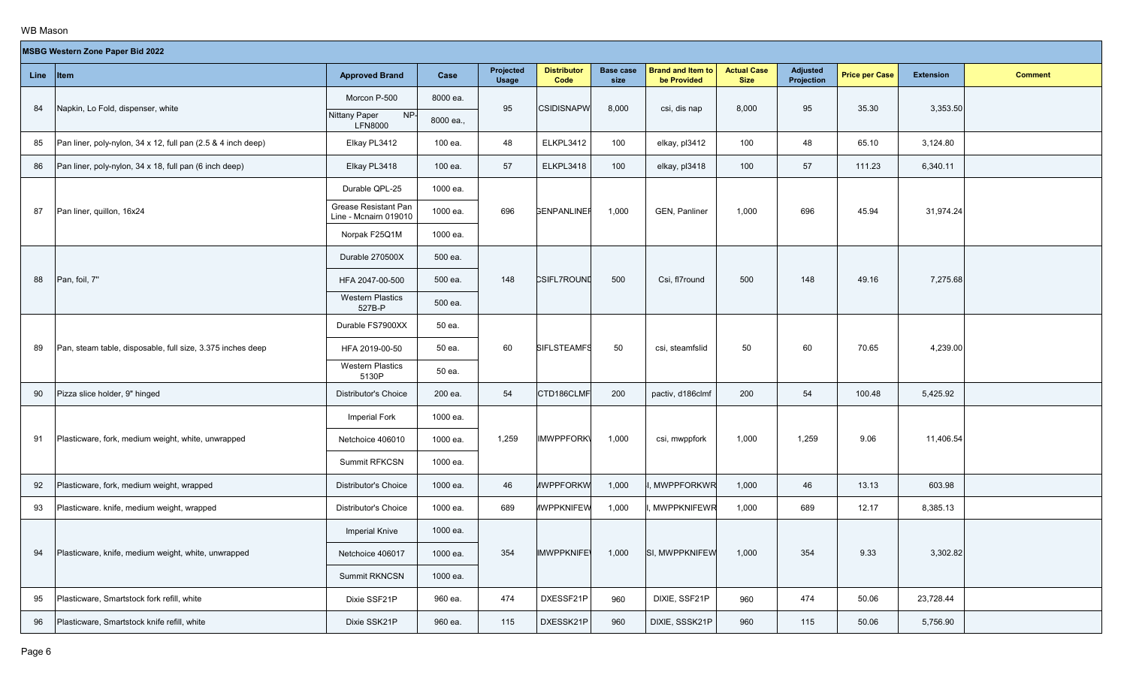# $\mathcal{L}^{\text{max}}_{\text{max}}$

|             | <b>MSBG Western Zone Paper Bid 2022</b>                      |                                               |           |                           |                            |                          |                                         |                                   |                               |                       |                  |                |
|-------------|--------------------------------------------------------------|-----------------------------------------------|-----------|---------------------------|----------------------------|--------------------------|-----------------------------------------|-----------------------------------|-------------------------------|-----------------------|------------------|----------------|
| Line   Item |                                                              | <b>Approved Brand</b>                         | Case      | Projected<br><b>Usage</b> | <b>Distributor</b><br>Code | <b>Base case</b><br>size | <b>Brand and Item to</b><br>be Provided | <b>Actual Case</b><br><b>Size</b> | <b>Adjusted</b><br>Projection | <b>Price per Case</b> | <b>Extension</b> | <b>Comment</b> |
| 84          | Napkin, Lo Fold, dispenser, white                            | Morcon P-500                                  | 8000 ea.  | 95                        | <b>CSIDISNAPW</b>          | 8,000                    | csi, dis nap                            | 8,000                             | 95                            | 35.30                 | 3,353.50         |                |
|             |                                                              | NP-<br>Nittany Paper<br><b>LFN8000</b>        | 8000 ea., |                           |                            |                          |                                         |                                   |                               |                       |                  |                |
| 85          | Pan liner, poly-nylon, 34 x 12, full pan (2.5 & 4 inch deep) | Elkay PL3412                                  | 100 ea.   | 48                        | ELKPL3412                  | 100                      | elkay, pl3412                           | 100                               | 48                            | 65.10                 | 3,124.80         |                |
| 86          | Pan liner, poly-nylon, 34 x 18, full pan (6 inch deep)       | Elkay PL3418                                  | 100 ea.   | 57                        | ELKPL3418                  | 100                      | elkay, pl3418                           | 100                               | 57                            | 111.23                | 6,340.11         |                |
|             |                                                              | Durable QPL-25                                | 1000 ea.  |                           |                            |                          |                                         |                                   |                               |                       |                  |                |
| 87          | Pan liner, quillon, 16x24                                    | Grease Resistant Pan<br>Line - Mcnairn 019010 | 1000 ea.  | 696                       | <b>GENPANLINEF</b>         | 1,000                    | <b>GEN, Panliner</b>                    | 1,000                             | 696                           | 45.94                 | 31,974.24        |                |
|             |                                                              | Norpak F25Q1M                                 | 1000 ea.  |                           |                            |                          |                                         |                                   |                               |                       |                  |                |
|             |                                                              | Durable 270500X                               | 500 ea.   |                           |                            |                          |                                         |                                   |                               |                       |                  |                |
| 88          | Pan, foil, 7"                                                | HFA 2047-00-500                               | 500 ea.   | 148                       | <b>CSIFL7ROUND</b>         | 500                      | Csi, fl7round                           | 500                               | 148                           | 49.16                 | 7,275.68         |                |
|             |                                                              | <b>Western Plastics</b><br>527B-P             | 500 ea.   |                           |                            |                          |                                         |                                   |                               |                       |                  |                |
|             |                                                              | Durable FS7900XX                              | 50 ea.    |                           |                            |                          |                                         |                                   |                               |                       |                  |                |
| 89          | Pan, steam table, disposable, full size, 3.375 inches deep   | HFA 2019-00-50                                | 50 ea.    | 60                        | <b>SIFLSTEAMFS</b>         | 50                       | csi, steamfslid                         | 50                                | 60                            | 70.65                 | 4,239.00         |                |
|             |                                                              | <b>Western Plastics</b><br>5130P              | 50 ea.    |                           |                            |                          |                                         |                                   |                               |                       |                  |                |
| 90          | Pizza slice holder, 9" hinged                                | <b>Distributor's Choice</b>                   | 200 ea.   | 54                        | CTD186CLMF                 | 200                      | pactiv, d186clmf                        | 200                               | 54                            | 100.48                | 5,425.92         |                |
|             |                                                              | Imperial Fork                                 | 1000 ea.  |                           |                            |                          |                                         |                                   |                               |                       |                  |                |
| 91          | Plasticware, fork, medium weight, white, unwrapped           | Netchoice 406010                              | 1000 ea.  | 1,259                     | <b>IMWPPFORK\</b>          | 1,000                    | csi, mwppfork                           | 1,000                             | 1,259                         | 9.06                  | 11,406.54        |                |
|             |                                                              | Summit RFKCSN                                 | 1000 ea.  |                           |                            |                          |                                         |                                   |                               |                       |                  |                |
| 92          | Plasticware, fork, medium weight, wrapped                    | <b>Distributor's Choice</b>                   | 1000 ea.  | 46                        | <b><i>IWPPFORKW</i></b>    | 1,000                    | <b>MWPPFORKWR</b>                       | 1,000                             | 46                            | 13.13                 | 603.98           |                |
| 93          | Plasticware. knife, medium weight, wrapped                   | Distributor's Choice                          | 1000 ea.  | 689                       | <b><i>IWPPKNIFEW</i></b>   | 1,000                    | <b>MWPPKNIFEWR</b>                      | 1,000                             | 689                           | 12.17                 | 8,385.13         |                |
|             |                                                              | <b>Imperial Knive</b>                         | 1000 ea.  |                           |                            |                          |                                         |                                   |                               |                       |                  |                |
| 94          | Plasticware, knife, medium weight, white, unwrapped          | Netchoice 406017                              | 1000 ea.  | 354                       | <b>IMWPPKNIFE</b>          | 1,000                    | SI, MWPPKNIFEW                          | 1,000                             | 354                           | 9.33                  | 3,302.82         |                |
|             |                                                              | Summit RKNCSN                                 | 1000 ea.  |                           |                            |                          |                                         |                                   |                               |                       |                  |                |
| 95          | Plasticware, Smartstock fork refill, white                   | Dixie SSF21P                                  | 960 ea.   | 474                       | DXESSF21P                  | 960                      | DIXIE, SSF21P                           | 960                               | 474                           | 50.06                 | 23,728.44        |                |
| 96          | Plasticware, Smartstock knife refill, white                  | Dixie SSK21P                                  | 960 ea.   | 115                       | DXESSK21P                  | 960                      | DIXIE, SSSK21P                          | 960                               | 115                           | 50.06                 | 5,756.90         |                |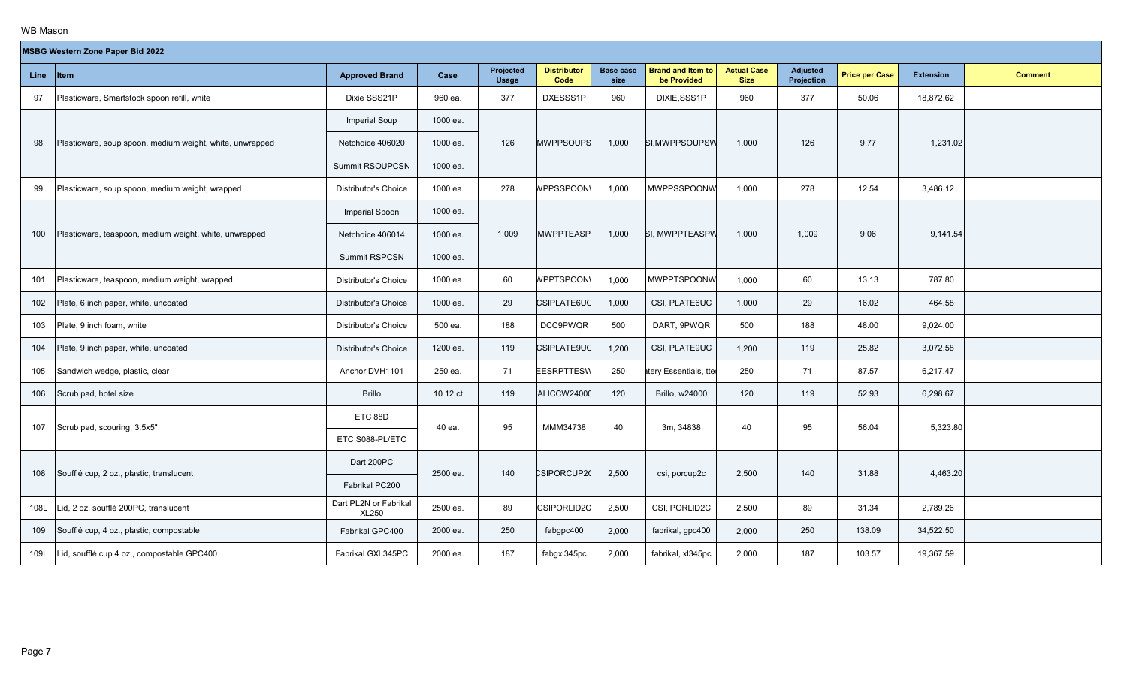| MSBG Western Zone Paper Bid 2022 |  |  |
|----------------------------------|--|--|
|                                  |  |  |

|      | <b>MSBG Western Zone Paper Bid 2022</b>                  |                                       |          |                    |                            |                          |                                         |                                   |                               |                       |                  |                |  |
|------|----------------------------------------------------------|---------------------------------------|----------|--------------------|----------------------------|--------------------------|-----------------------------------------|-----------------------------------|-------------------------------|-----------------------|------------------|----------------|--|
| Line | <b>Item</b>                                              | <b>Approved Brand</b>                 | Case     | Projected<br>Usage | <b>Distributor</b><br>Code | <b>Base case</b><br>size | <b>Brand and Item to</b><br>be Provided | <b>Actual Case</b><br><b>Size</b> | <b>Adjusted</b><br>Projection | <b>Price per Case</b> | <b>Extension</b> | <b>Comment</b> |  |
| 97   | Plasticware, Smartstock spoon refill, white              | Dixie SSS21P                          | 960 ea.  | 377                | DXESSS1P                   | 960                      | DIXIE, SSS1P                            | 960                               | 377                           | 50.06                 | 18,872.62        |                |  |
|      |                                                          | <b>Imperial Soup</b>                  | 1000 ea. |                    |                            |                          |                                         |                                   |                               |                       |                  |                |  |
| 98   | Plasticware, soup spoon, medium weight, white, unwrapped | Netchoice 406020                      | 1000 ea. | 126                | <b>MWPPSOUPS</b>           | 1,000                    | SI.MWPPSOUPSW                           | 1,000                             | 126                           | 9.77                  | 1,231.02         |                |  |
|      |                                                          | Summit RSOUPCSN                       | 1000 ea. |                    |                            |                          |                                         |                                   |                               |                       |                  |                |  |
| 99   | Plasticware, soup spoon, medium weight, wrapped          | Distributor's Choice                  | 1000 ea. | 278                | <b>NPPSSPOON</b>           | 1,000                    | <b>MWPPSSPOONW</b>                      | 1,000                             | 278                           | 12.54                 | 3,486.12         |                |  |
|      |                                                          | Imperial Spoon                        | 1000 ea. |                    |                            |                          |                                         |                                   |                               |                       |                  |                |  |
| 100  | Plasticware, teaspoon, medium weight, white, unwrapped   | Netchoice 406014                      | 1000 ea. | 1,009              | <b>MWPPTEASP</b>           | 1,000                    | SI, MWPPTEASPW                          | 1,000                             | 1,009                         | 9.06                  | 9,141.54         |                |  |
|      |                                                          | Summit RSPCSN                         | 1000 ea. |                    |                            |                          |                                         |                                   |                               |                       |                  |                |  |
| 101  | Plasticware, teaspoon, medium weight, wrapped            | Distributor's Choice                  | 1000 ea. | 60                 | <b>WPPTSPOON\</b>          | 1,000                    | <b>MWPPTSPOONV</b>                      | 1,000                             | 60                            | 13.13                 | 787.80           |                |  |
| 102  | Plate, 6 inch paper, white, uncoated                     | Distributor's Choice                  | 1000 ea. | 29                 | CSIPLATE6UC                | 1,000                    | CSI, PLATE6UC                           | 1,000                             | 29                            | 16.02                 | 464.58           |                |  |
| 103  | Plate, 9 inch foam, white                                | <b>Distributor's Choice</b>           | 500 ea.  | 188                | <b>DCC9PWQR</b>            | 500                      | DART, 9PWQR                             | 500                               | 188                           | 48.00                 | 9,024.00         |                |  |
| 104  | Plate, 9 inch paper, white, uncoated                     | <b>Distributor's Choice</b>           | 1200 ea. | 119                | CSIPLATE9UC                | 1,200                    | CSI, PLATE9UC                           | 1,200                             | 119                           | 25.82                 | 3,072.58         |                |  |
| 105  | Sandwich wedge, plastic, clear                           | Anchor DVH1101                        | 250 ea.  | 71                 | <b>EESRPTTESW</b>          | 250                      | atery Essentials, tte                   | 250                               | 71                            | 87.57                 | 6,217.47         |                |  |
| 106  | Scrub pad, hotel size                                    | <b>Brillo</b>                         | 10 12 ct | 119                | ALICCW24000                | 120                      | <b>Brillo, w24000</b>                   | 120                               | 119                           | 52.93                 | 6,298.67         |                |  |
|      |                                                          | ETC 88D                               | 40 ea.   | 95                 | MMM34738                   | 40                       |                                         | 40                                | 95                            | 56.04                 |                  |                |  |
| 107  | Scrub pad, scouring, 3.5x5"                              | ETC S088-PL/ETC                       |          |                    |                            |                          | 3m, 34838                               |                                   |                               |                       | 5,323.80         |                |  |
|      |                                                          | Dart 200PC                            |          |                    |                            |                          |                                         |                                   |                               |                       |                  |                |  |
| 108  | Soufflé cup, 2 oz., plastic, translucent                 | Fabrikal PC200                        | 2500 ea. | 140                | CSIPORCUP20                | 2,500                    | csi, porcup2c                           | 2,500                             | 140                           | 31.88                 | 4,463.20         |                |  |
| 108L | Lid, 2 oz. soufflé 200PC, translucent                    | Dart PL2N or Fabrikal<br><b>XL250</b> | 2500 ea. | 89                 | CSIPORLID2C                | 2,500                    | CSI, PORLID2C                           | 2,500                             | 89                            | 31.34                 | 2,789.26         |                |  |
| 109  | Soufflé cup, 4 oz., plastic, compostable                 | Fabrikal GPC400                       | 2000 ea. | 250                | fabgpc400                  | 2,000                    | fabrikal, gpc400                        | 2,000                             | 250                           | 138.09                | 34,522.50        |                |  |
| 109L | Lid, soufflé cup 4 oz., compostable GPC400               | Fabrikal GXL345PC                     | 2000 ea. | 187                | fabgxl345pc                | 2,000                    | fabrikal, xl345pc                       | 2,000                             | 187                           | 103.57                | 19,367.59        |                |  |
|      |                                                          |                                       |          |                    |                            |                          |                                         |                                   |                               |                       |                  |                |  |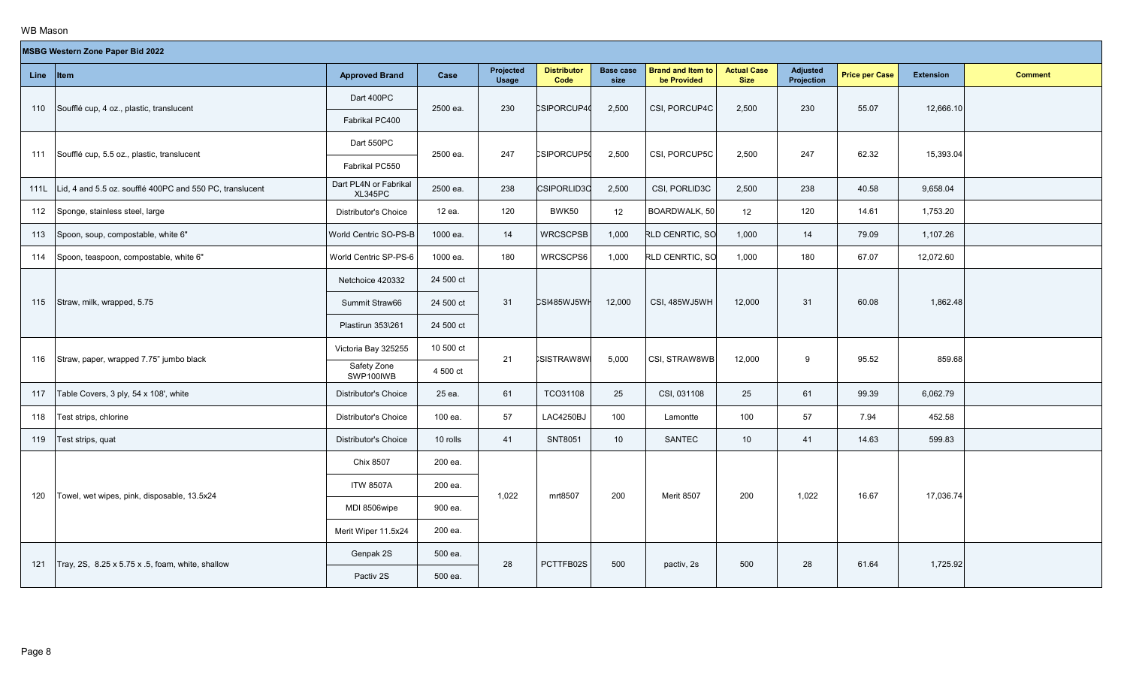| MSBG Western Zone Paper Bid 2022 |  |  |
|----------------------------------|--|--|
|                                  |  |  |

|      | <b>MSBG Western Zone Paper Bid 2022</b>                       |                                  |           |                           |                            |                          |                                         |                                   |                               |                       |                  |                |
|------|---------------------------------------------------------------|----------------------------------|-----------|---------------------------|----------------------------|--------------------------|-----------------------------------------|-----------------------------------|-------------------------------|-----------------------|------------------|----------------|
| Line | <b>I</b> tem                                                  | <b>Approved Brand</b>            | Case      | Projected<br><b>Usage</b> | <b>Distributor</b><br>Code | <b>Base case</b><br>size | <b>Brand and Item to</b><br>be Provided | <b>Actual Case</b><br><b>Size</b> | <b>Adjusted</b><br>Projection | <b>Price per Case</b> | <b>Extension</b> | <b>Comment</b> |
| 110  | Soufflé cup, 4 oz., plastic, translucent                      | Dart 400PC                       | 2500 ea.  | 230                       | CSIPORCUP40                | 2,500                    | CSI, PORCUP4C                           | 2,500                             | 230                           | 55.07                 | 12,666.10        |                |
|      |                                                               | Fabrikal PC400                   |           |                           |                            |                          |                                         |                                   |                               |                       |                  |                |
| 111  | Soufflé cup, 5.5 oz., plastic, translucent                    | Dart 550PC                       | 2500 ea.  | 247                       | <b>CSIPORCUP50</b>         | 2,500                    | CSI, PORCUP5C                           | 2,500                             | 247                           | 62.32                 | 15,393.04        |                |
|      |                                                               | Fabrikal PC550                   |           |                           |                            |                          |                                         |                                   |                               |                       |                  |                |
|      | 111L Lid, 4 and 5.5 oz. soufflé 400PC and 550 PC, translucent | Dart PL4N or Fabrikal<br>XL345PC | 2500 ea.  | 238                       | <b>CSIPORLID3C</b>         | 2,500                    | CSI, PORLID3C                           | 2,500                             | 238                           | 40.58                 | 9,658.04         |                |
| 112  | Sponge, stainless steel, large                                | <b>Distributor's Choice</b>      | 12 ea.    | 120                       | BWK50                      | 12                       | BOARDWALK, 50                           | 12                                | 120                           | 14.61                 | 1,753.20         |                |
| 113  | Spoon, soup, compostable, white 6"                            | World Centric SO-PS-B            | 1000 ea.  | 14                        | <b>WRCSCPSB</b>            | 1,000                    | RLD CENRTIC, SO                         | 1,000                             | 14                            | 79.09                 | 1,107.26         |                |
| 114  | Spoon, teaspoon, compostable, white 6"                        | World Centric SP-PS-6            | 1000 ea.  | 180                       | WRCSCPS6                   | 1,000                    | RLD CENRTIC, SO                         | 1,000                             | 180                           | 67.07                 | 12,072.60        |                |
|      |                                                               | Netchoice 420332                 | 24 500 ct |                           |                            |                          |                                         |                                   |                               |                       |                  |                |
| 115  | Straw, milk, wrapped, 5.75                                    | Summit Straw66                   | 24 500 ct | 31                        | CSI485WJ5WH                | 12,000                   | CSI, 485WJ5WH                           | 12,000                            | 31                            | 60.08                 | 1,862.48         |                |
|      |                                                               | Plastirun 353\261                | 24 500 ct |                           |                            |                          |                                         |                                   |                               |                       |                  |                |
|      | Straw, paper, wrapped 7.75" jumbo black                       | Victoria Bay 325255              | 10 500 ct | 21                        | <b>SISTRAW8W</b>           | 5,000                    | CSI, STRAW8WB                           | 12,000                            | 9                             | 95.52                 | 859.68           |                |
| 116  |                                                               | Safety Zone<br>SWP100IWB         | 4 500 ct  |                           |                            |                          |                                         |                                   |                               |                       |                  |                |
| 117  | Table Covers, 3 ply, 54 x 108', white                         | Distributor's Choice             | 25 ea.    | 61                        | TCO31108                   | 25                       | CSI, 031108                             | 25                                | 61                            | 99.39                 | 6.062.79         |                |
| 118  | Test strips, chlorine                                         | Distributor's Choice             | 100 ea.   | 57                        | LAC4250BJ                  | 100                      | Lamontte                                | 100                               | 57                            | 7.94                  | 452.58           |                |
| 119  | Fest strips, quat                                             | <b>Distributor's Choice</b>      | 10 rolls  | 41                        | SNT8051                    | 10 <sup>°</sup>          | <b>SANTEC</b>                           | 10 <sup>°</sup>                   | 41                            | 14.63                 | 599.83           |                |
|      |                                                               | Chix 8507                        | 200 ea.   |                           |                            |                          |                                         |                                   |                               |                       |                  |                |
| 120  | Towel, wet wipes, pink, disposable, 13.5x24                   | <b>ITW 8507A</b>                 | 200 ea.   | 1,022                     | mrt8507                    |                          | <b>Merit 8507</b>                       | 200                               | 1,022                         | 16.67                 | 17,036.74        |                |
|      |                                                               | MDI 8506wipe                     | 900 ea.   |                           |                            | 200                      |                                         |                                   |                               |                       |                  |                |
|      |                                                               | Merit Wiper 11.5x24              | 200 ea.   |                           |                            |                          |                                         |                                   |                               |                       |                  |                |
|      | Tray, 2S, 8.25 x 5.75 x .5, foam, white, shallow              | Genpak 2S                        | 500 ea.   | 28                        |                            | 500                      |                                         | 500                               | 28                            | 61.64                 | 1,725.92         |                |
| 121  |                                                               | Pactiv 2S                        | 500 ea.   |                           | PCTTFB02S                  |                          | pactiv, 2s                              |                                   |                               |                       |                  |                |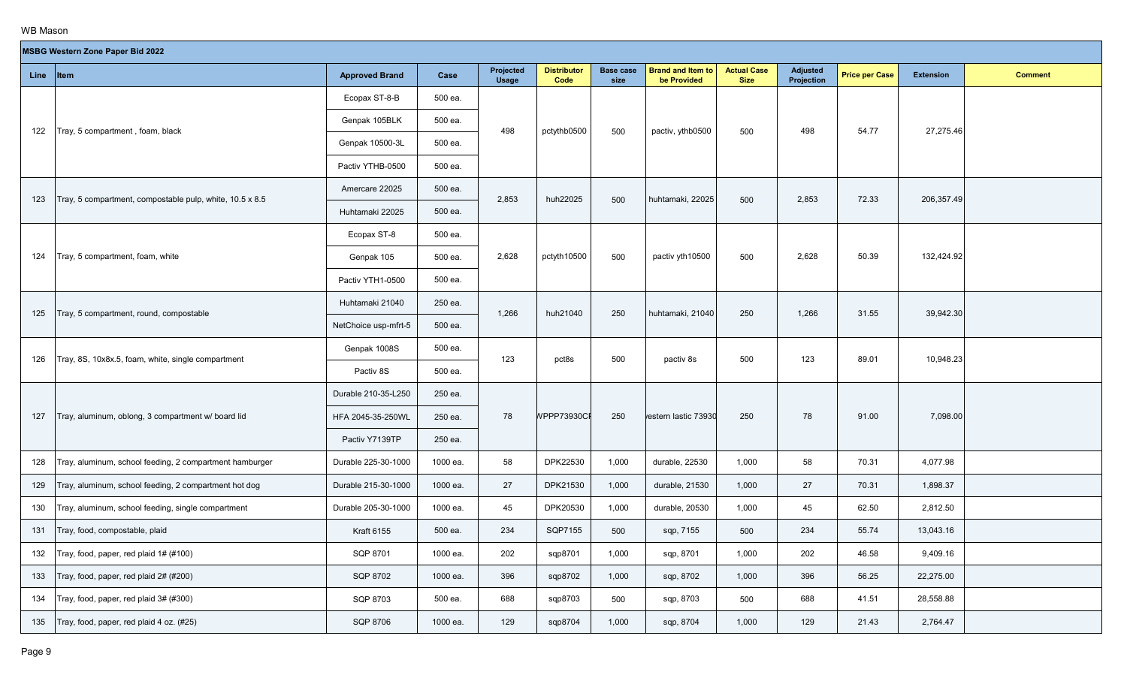**The Co** 

|           | <b>MSBG Western Zone Paper Bid 2022</b>                  |                       |          |                           |                            |                          |                                         |                                   |                               |                       |                  |                |
|-----------|----------------------------------------------------------|-----------------------|----------|---------------------------|----------------------------|--------------------------|-----------------------------------------|-----------------------------------|-------------------------------|-----------------------|------------------|----------------|
| Line Item |                                                          | <b>Approved Brand</b> | Case     | Projected<br><b>Usage</b> | <b>Distributor</b><br>Code | <b>Base case</b><br>size | <b>Brand and Item to</b><br>be Provided | <b>Actual Case</b><br><b>Size</b> | <b>Adjusted</b><br>Projection | <b>Price per Case</b> | <b>Extension</b> | <b>Comment</b> |
|           |                                                          | Ecopax ST-8-B         | 500 ea.  |                           |                            |                          |                                         |                                   |                               |                       |                  |                |
| 122       | Tray, 5 compartment , foam, black                        | Genpak 105BLK         | 500 ea.  | 498                       | pctythb0500                | 500                      | pactiv, ythb0500                        | 500                               | 498                           | 54.77                 | 27,275.46        |                |
|           |                                                          | Genpak 10500-3L       | 500 ea.  |                           |                            |                          |                                         |                                   |                               |                       |                  |                |
|           |                                                          | Pactiv YTHB-0500      | 500 ea.  |                           |                            |                          |                                         |                                   |                               |                       |                  |                |
| 123       | Tray, 5 compartment, compostable pulp, white, 10.5 x 8.5 | Amercare 22025        | 500 ea.  | 2,853                     | huh22025                   | 500                      | huhtamaki, 22025                        | 500                               | 2,853                         | 72.33                 | 206,357.49       |                |
|           |                                                          | Huhtamaki 22025       | 500 ea.  |                           |                            |                          |                                         |                                   |                               |                       |                  |                |
|           |                                                          | Ecopax ST-8           | 500 ea.  |                           |                            |                          |                                         |                                   |                               |                       |                  |                |
| 124       | Tray, 5 compartment, foam, white                         | Genpak 105            | 500 ea.  | 2,628                     | pctyth10500                | 500                      | pactiv yth10500                         | 500                               | 2,628                         | 50.39                 | 132,424.92       |                |
|           |                                                          | Pactiv YTH1-0500      | 500 ea.  |                           |                            |                          |                                         |                                   |                               |                       |                  |                |
|           |                                                          | Huhtamaki 21040       | 250 ea.  | 1,266                     | huh21040                   | 250                      | huhtamaki, 21040                        | 250                               | 1,266                         | 31.55                 | 39,942.30        |                |
| 125       | Tray, 5 compartment, round, compostable                  | NetChoice usp-mfrt-5  | 500 ea.  |                           |                            |                          |                                         |                                   |                               |                       |                  |                |
| 126       | Tray, 8S, 10x8x.5, foam, white, single compartment       | Genpak 1008S          | 500 ea.  | 123                       | pct8s                      | 500                      | pactiv 8s                               | 500                               | 123                           | 89.01                 | 10,948.23        |                |
|           |                                                          | Pactiv 8S             | 500 ea.  |                           |                            |                          |                                         |                                   |                               |                       |                  |                |
|           |                                                          | Durable 210-35-L250   | 250 ea.  |                           |                            |                          |                                         |                                   |                               |                       |                  |                |
| 127       | Tray, aluminum, oblong, 3 compartment w/ board lid       | HFA 2045-35-250WL     | 250 ea.  | 78                        | <b>NPPP73930CF</b>         | 250                      | vestern lastic 73930                    | 250                               | 78                            | 91.00                 | 7,098.00         |                |
|           |                                                          | Pactiv Y7139TP        | 250 ea.  |                           |                            |                          |                                         |                                   |                               |                       |                  |                |
| 128       | Tray, aluminum, school feeding, 2 compartment hamburger  | Durable 225-30-1000   | 1000 ea. | 58                        | DPK22530                   | 1,000                    | durable, 22530                          | 1,000                             | 58                            | 70.31                 | 4,077.98         |                |
| 129       | Tray, aluminum, school feeding, 2 compartment hot dog    | Durable 215-30-1000   | 1000 ea. | 27                        | DPK21530                   | 1,000                    | durable, 21530                          | 1,000                             | 27                            | 70.31                 | 1,898.37         |                |
| 130       | Tray, aluminum, school feeding, single compartment       | Durable 205-30-1000   | 1000 ea. | 45                        | DPK20530                   | 1,000                    | durable, 20530                          | 1,000                             | 45                            | 62.50                 | 2,812.50         |                |
| 131       | Tray, food, compostable, plaid                           | <b>Kraft 6155</b>     | 500 ea.  | 234                       | SQP7155                    | 500                      | sqp, 7155                               | 500                               | 234                           | 55.74                 | 13,043.16        |                |
| 132       | Tray, food, paper, red plaid 1# (#100)                   | SQP 8701              | 1000 ea. | 202                       | sqp8701                    | 1,000                    | sqp, 8701                               | 1,000                             | 202                           | 46.58                 | 9,409.16         |                |
| 133       | Tray, food, paper, red plaid 2# (#200)                   | SQP 8702              | 1000 ea. | 396                       | sqp8702                    | 1,000                    | sqp, 8702                               | 1,000                             | 396                           | 56.25                 | 22,275.00        |                |
| 134       | Tray, food, paper, red plaid 3# (#300)                   | SQP 8703              | 500 ea.  | 688                       | sqp8703                    | 500                      | sqp, 8703                               | 500                               | 688                           | 41.51                 | 28,558.88        |                |
| 135       | Tray, food, paper, red plaid 4 oz. (#25)                 | SQP 8706              | 1000 ea. | 129                       | sqp8704                    | 1,000                    | sqp, 8704                               | 1,000                             | 129                           | 21.43                 | 2,764.47         |                |